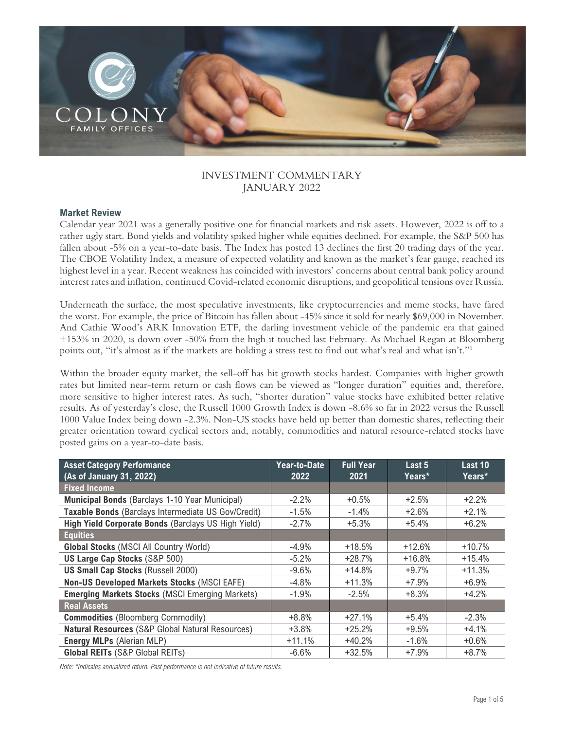

# INVESTMENT COMMENTARY JANUARY 2022

### **Market Review**

Calendar year 2021 was a generally positive one for financial markets and risk assets. However, 2022 is off to a rather ugly start. Bond yields and volatility spiked higher while equities declined. For example, the S&P 500 has fallen about -5% on a year-to-date basis. The Index has posted 13 declines the first 20 trading days of the year. The CBOE Volatility Index, a measure of expected volatility and known as the market's fear gauge, reached its highest level in a year. Recent weakness has coincided with investors' concerns about central bank policy around interest rates and inflation, continued Covid-related economic disruptions, and geopolitical tensions over Russia.

Underneath the surface, the most speculative investments, like cryptocurrencies and meme stocks, have fared the worst. For example, the price of Bitcoin has fallen about -45% since it sold for nearly \$69,000 in November. And Cathie Wood's ARK Innovation ETF, the darling investment vehicle of the pandemic era that gained +153% in 2020, is down over -50% from the high it touched last February. As Michael Regan at Bloomberg points out, "it's almost as if the markets are holding a stress test to find out what's real and what isn't."<sup>1</sup>

Within the broader equity market, the sell-off has hit growth stocks hardest. Companies with higher growth rates but limited near-term return or cash flows can be viewed as "longer duration" equities and, therefore, more sensitive to higher interest rates. As such, "shorter duration" value stocks have exhibited better relative results. As of yesterday's close, the Russell 1000 Growth Index is down -8.6% so far in 2022 versus the Russell 1000 Value Index being down -2.3%. Non-US stocks have held up better than domestic shares, reflecting their greater orientation toward cyclical sectors and, notably, commodities and natural resource-related stocks have posted gains on a year-to-date basis.

| <b>Asset Category Performance</b><br>(As of January 31, 2022) | Year-to-Date<br>2022 | <b>Full Year</b><br>2021 | Last 5<br>Years* | Last 10<br>Years* |
|---------------------------------------------------------------|----------------------|--------------------------|------------------|-------------------|
|                                                               |                      |                          |                  |                   |
| <b>Fixed Income</b>                                           |                      |                          |                  |                   |
| <b>Municipal Bonds</b> (Barclays 1-10 Year Municipal)         | $-2.2\%$             | $+0.5%$                  | $+2.5%$          | $+2.2%$           |
| Taxable Bonds (Barclays Intermediate US Gov/Credit)           | $-1.5%$              | $-1.4%$                  | $+2.6%$          | $+2.1%$           |
| High Yield Corporate Bonds (Barclays US High Yield)           | $-2.7%$              | $+5.3%$                  | $+5.4%$          | $+6.2%$           |
| <b>Equities</b>                                               |                      |                          |                  |                   |
| <b>Global Stocks (MSCI All Country World)</b>                 | $-4.9\%$             | $+18.5%$                 | $+12.6%$         | $+10.7%$          |
| <b>US Large Cap Stocks (S&amp;P 500)</b>                      | $-5.2%$              | $+28.7%$                 | $+16.8%$         | $+15.4%$          |
| <b>US Small Cap Stocks (Russell 2000)</b>                     | $-9.6%$              | $+14.8%$                 | $+9.7%$          | $+11.3%$          |
| <b>Non-US Developed Markets Stocks (MSCI EAFE)</b>            | $-4.8%$              | $+11.3%$                 | $+7.9%$          | $+6.9%$           |
| <b>Emerging Markets Stocks (MSCI Emerging Markets)</b>        | $-1.9%$              | $-2.5%$                  | $+8.3%$          | $+4.2%$           |
| <b>Real Assets</b>                                            |                      |                          |                  |                   |
| <b>Commodities</b> (Bloomberg Commodity)                      | $+8.8%$              | $+27.1%$                 | $+5.4%$          | $-2.3%$           |
| <b>Natural Resources (S&amp;P Global Natural Resources)</b>   | $+3.8%$              | $+25.2%$                 | $+9.5%$          | $+4.1%$           |
| <b>Energy MLPs (Alerian MLP)</b>                              | $+11.1%$             | $+40.2%$                 | $-1.6%$          | $+0.6%$           |
| <b>Global REITs (S&amp;P Global REITs)</b>                    | $-6.6%$              | $+32.5%$                 | $+7.9%$          | $+8.7%$           |

*Note: \*Indicates annualized return. Past performance is not indicative of future results.*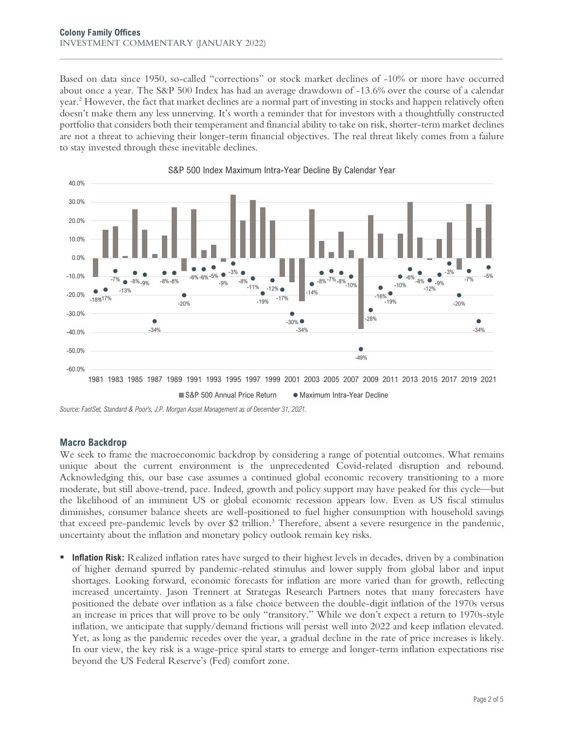Based on data since 1950, so-called "corrections" or stock market declines of -10% or more have occurred about once a year. The S&P 500 Index has had an average drawdown of -13.6% over the course of a calendar year.<sup>2</sup> However, the fact that market declines are a normal part of investing in stocks and happen relatively often doesn't make them any less unnerving. It's worth a reminder that for investors with a thoughtfully constructed portfolio that considers both their temperament and financial ability to take on risk, shorter-term market declines are not a threat to achieving their longer-term financial objectives. The real threat likely comes from a failure to stay invested through these inevitable declines.



S&P 500 Index Maximum Intra-Year Decline By Calendar Year

*Source: FactSet, Standard & Poor's, J.P. Morgan Asset Management as of December 31, 2021.* 

#### **Macro Backdrop**

We seek to frame the macroeconomic backdrop by considering a range of potential outcomes. What remains unique about the current environment is the unprecedented Covid-related disruption and rebound. Acknowledging this, our base case assumes a continued global economic recovery transitioning to a more moderate, but still above-trend, pace. Indeed, growth and policy support may have peaked for this cycle—but the likelihood of an imminent US or global economic recession appears low. Even as US fiscal stimulus diminishes, consumer balance sheets are well-positioned to fuel higher consumption with household savings that exceed pre-pandemic levels by over \$2 trillion.<sup>3</sup> Therefore, absent a severe resurgence in the pandemic, uncertainty about the inflation and monetary policy outlook remain key risks.

**Inflation Risk:** Realized inflation rates have surged to their highest levels in decades, driven by a combination of higher demand spurred by pandemic-related stimulus and lower supply from global labor and input shortages. Looking forward, economic forecasts for inflation are more varied than for growth, reflecting increased uncertainty. Jason Trennert at Strategas Research Partners notes that many forecasters have positioned the debate over inflation as a false choice between the double-digit inflation of the 1970s versus an increase in prices that will prove to be only "transitory." While we don't expect a return to 1970s-style inflation, we anticipate that supply/demand frictions will persist well into 2022 and keep inflation elevated. Yet, as long as the pandemic recedes over the year, a gradual decline in the rate of price increases is likely. In our view, the key risk is a wage-price spiral starts to emerge and longer-term inflation expectations rise beyond the US Federal Reserve's (Fed) comfort zone.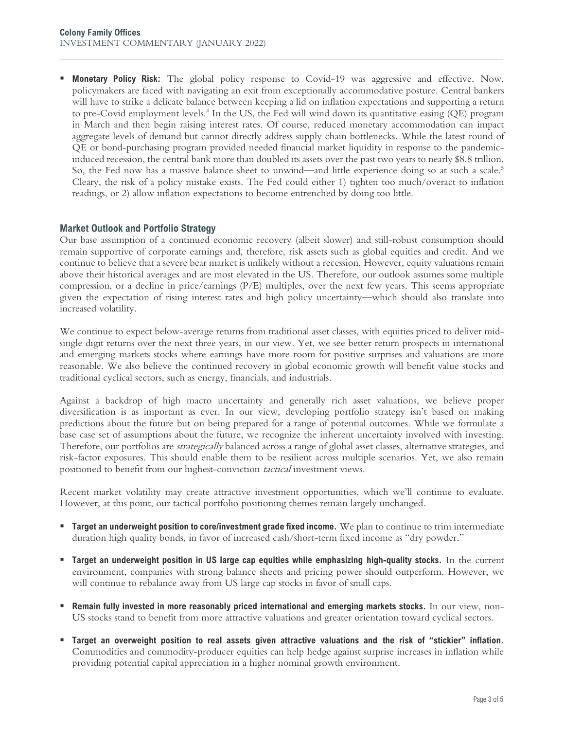**Monetary Policy Risk:** The global policy response to Covid-19 was aggressive and effective. Now, policymakers are faced with navigating an exit from exceptionally accommodative posture. Central bankers will have to strike a delicate balance between keeping a lid on inflation expectations and supporting a return to pre-Covid employment levels.<sup>4</sup> In the US, the Fed will wind down its quantitative easing (QE) program in March and then begin raising interest rates. Of course, reduced monetary accommodation can impact aggregate levels of demand but cannot directly address supply chain bottlenecks. While the latest round of QE or bond-purchasing program provided needed financial market liquidity in response to the pandemicinduced recession, the central bank more than doubled its assets over the past two years to nearly \$8.8 trillion. So, the Fed now has a massive balance sheet to unwind—and little experience doing so at such a scale.<sup>5</sup> Cleary, the risk of a policy mistake exists. The Fed could either 1) tighten too much/overact to inflation readings, or 2) allow inflation expectations to become entrenched by doing too little.

## **Market Outlook and Portfolio Strategy**

Our base assumption of a continued economic recovery (albeit slower) and still-robust consumption should remain supportive of corporate earnings and, therefore, risk assets such as global equities and credit. And we continue to believe that a severe bear market is unlikely without a recession. However, equity valuations remain above their historical averages and are most elevated in the US. Therefore, our outlook assumes some multiple compression, or a decline in price/earnings (P/E) multiples, over the next few years. This seems appropriate given the expectation of rising interest rates and high policy uncertainty—which should also translate into increased volatility.

We continue to expect below-average returns from traditional asset classes, with equities priced to deliver midsingle digit returns over the next three years, in our view. Yet, we see better return prospects in international and emerging markets stocks where earnings have more room for positive surprises and valuations are more reasonable. We also believe the continued recovery in global economic growth will benefit value stocks and traditional cyclical sectors, such as energy, financials, and industrials.

Against a backdrop of high macro uncertainty and generally rich asset valuations, we believe proper diversification is as important as ever. In our view, developing portfolio strategy isn't based on making predictions about the future but on being prepared for a range of potential outcomes. While we formulate a base case set of assumptions about the future, we recognize the inherent uncertainty involved with investing. Therefore, our portfolios are *strategically* balanced across a range of global asset classes, alternative strategies, and risk-factor exposures. This should enable them to be resilient across multiple scenarios. Yet, we also remain positioned to benefit from our highest-conviction *tactical* investment views.

Recent market volatility may create attractive investment opportunities, which we'll continue to evaluate. However, at this point, our tactical portfolio positioning themes remain largely unchanged.

- **Target an underweight position to core/investment grade fixed income.** We plan to continue to trim intermediate duration high quality bonds, in favor of increased cash/short-term fixed income as "dry powder."
- **Example 1 Target an underweight position in US large cap equities while emphasizing high-quality stocks.** In the current environment, companies with strong balance sheets and pricing power should outperform. However, we will continue to rebalance away from US large cap stocks in favor of small caps.
- **Remain fully invested in more reasonably priced international and emerging markets stocks.** In our view, non-US stocks stand to benefit from more attractive valuations and greater orientation toward cyclical sectors.
- **Target an overweight position to real assets given attractive valuations and the risk of "stickier" inflation.**  Commodities and commodity-producer equities can help hedge against surprise increases in inflation while providing potential capital appreciation in a higher nominal growth environment.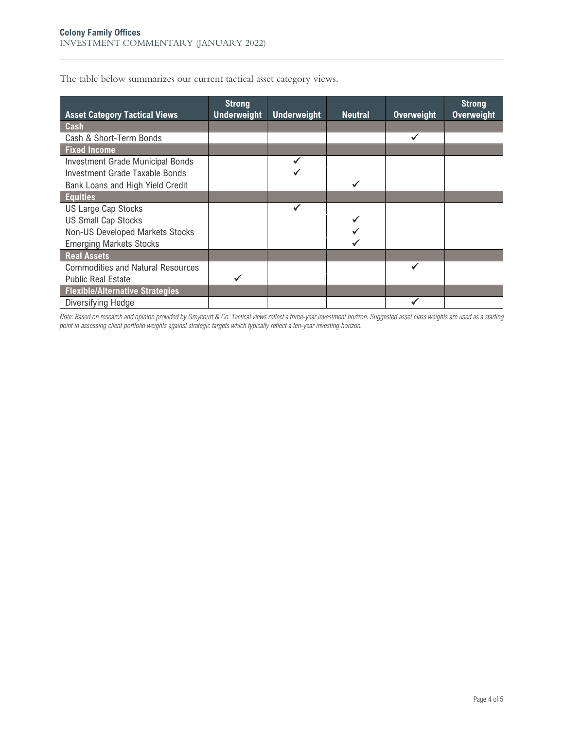|  | The table below summarizes our current tactical asset category views. |  |  |  |
|--|-----------------------------------------------------------------------|--|--|--|
|  |                                                                       |  |  |  |

| <b>Asset Category Tactical Views</b>     | <b>Strong</b><br><b>Underweight</b> | <b>Underweight</b> | <b>Neutral</b> | <b>Overweight</b> | <b>Strong</b><br><b>Overweight</b> |
|------------------------------------------|-------------------------------------|--------------------|----------------|-------------------|------------------------------------|
| Cash                                     |                                     |                    |                |                   |                                    |
| Cash & Short-Term Bonds                  |                                     |                    |                |                   |                                    |
| <b>Fixed Income</b>                      |                                     |                    |                |                   |                                    |
| <b>Investment Grade Municipal Bonds</b>  |                                     |                    |                |                   |                                    |
| Investment Grade Taxable Bonds           |                                     |                    |                |                   |                                    |
| Bank Loans and High Yield Credit         |                                     |                    |                |                   |                                    |
| <b>Equities</b>                          |                                     |                    |                |                   |                                    |
| <b>US Large Cap Stocks</b>               |                                     |                    |                |                   |                                    |
| <b>US Small Cap Stocks</b>               |                                     |                    |                |                   |                                    |
| Non-US Developed Markets Stocks          |                                     |                    |                |                   |                                    |
| <b>Emerging Markets Stocks</b>           |                                     |                    |                |                   |                                    |
| <b>Real Assets</b>                       |                                     |                    |                |                   |                                    |
| <b>Commodities and Natural Resources</b> |                                     |                    |                | ✔                 |                                    |
| <b>Public Real Estate</b>                |                                     |                    |                |                   |                                    |
| <b>Flexible/Alternative Strategies</b>   |                                     |                    |                |                   |                                    |
| Diversifying Hedge                       |                                     |                    |                |                   |                                    |

*Note: Based on research and opinion provided by Greycourt & Co. Tactical views reflect a three-year investment horizon. Suggested asset class weights are used as a starting point in assessing client portfolio weights against strategic targets which typically reflect a ten-year investing horizon.*